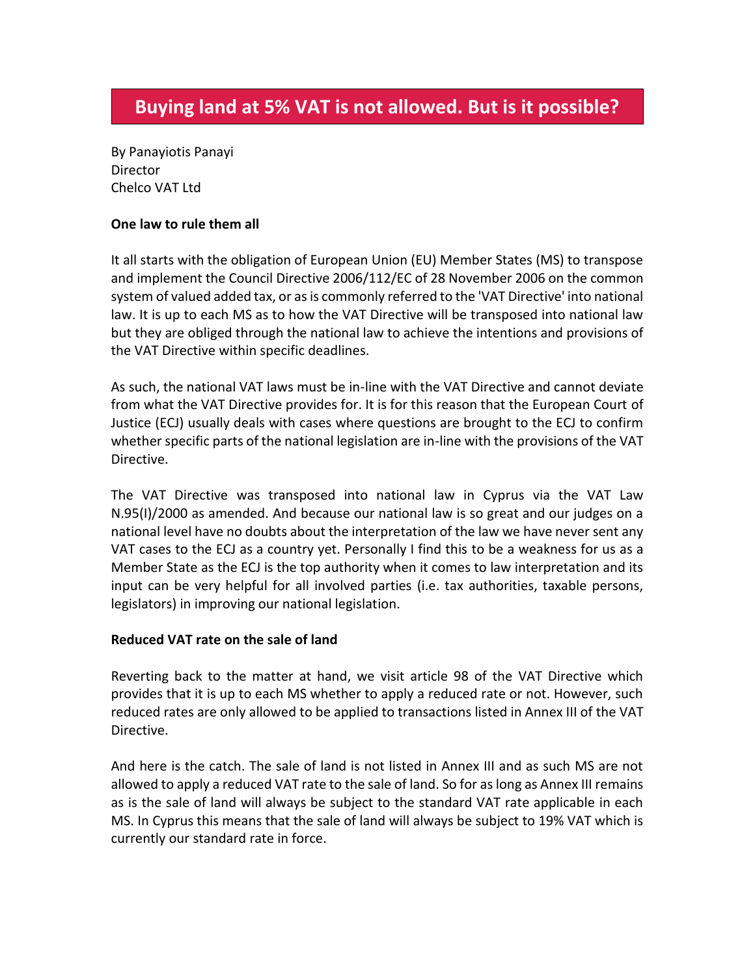By Panayiotis Panayi **Director** Chelco VAT Ltd

## **One law to rule them all**

It all starts with the obligation of European Union (EU) Member States (MS) to transpose and implement the Council Directive 2006/112/EC of 28 November 2006 on the common system of valued added tax, or as is commonly referred to the 'VAT Directive' into national law. It is up to each MS as to how the VAT Directive will be transposed into national law but they are obliged through the national law to achieve the intentions and provisions of the VAT Directive within specific deadlines.

As such, the national VAT laws must be in-line with the VAT Directive and cannot deviate from what the VAT Directive provides for. It is for this reason that the European Court of Justice (ECJ) usually deals with cases where questions are brought to the ECJ to confirm whether specific parts of the national legislation are in-line with the provisions of the VAT Directive.

The VAT Directive was transposed into national law in Cyprus via the VAT Law N.95(I)/2000 as amended. And because our national law is so great and our judges on a national level have no doubts about the interpretation of the law we have never sent any VAT cases to the ECJ as a country yet. Personally I find this to be a weakness for us as a Member State as the ECJ is the top authority when it comes to law interpretation and its input can be very helpful for all involved parties (i.e. tax authorities, taxable persons, legislators) in improving our national legislation.

## **Reduced VAT rate on the sale of land**

Reverting back to the matter at hand, we visit article 98 of the VAT Directive which provides that it is up to each MS whether to apply a reduced rate or not. However, such reduced rates are only allowed to be applied to transactions listed in Annex III of the VAT Directive.

And here is the catch. The sale of land is not listed in Annex III and as such MS are not allowed to apply a reduced VAT rate to the sale of land. So for as long as Annex III remains as is the sale of land will always be subject to the standard VAT rate applicable in each MS. In Cyprus this means that the sale of land will always be subject to 19% VAT which is currently our standard rate in force.